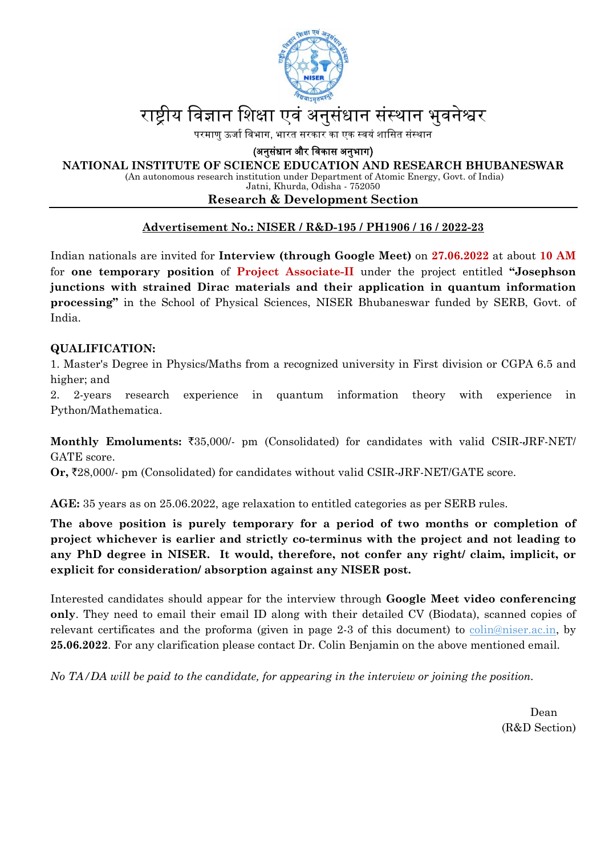

## राष्टीय विज्ञान शिक्षा एवं अनुसंधान संस्थान भुवनेश्वर

परमाणु ऊर्जा विभाग, भारत सरकार का एक स्वयं शासित संस्थान

(अनुसंधान और विकास अनुभाग)

**NATIONAL INSTITUTE OF SCIENCE EDUCATION AND RESEARCH BHUBANESWAR** 

 (An autonomous research institution under Department of Atomic Energy, Govt. of India) Jatni, Khurda, Odisha - 752050

#### **Research & Development Section**

### **Advertisement No.: NISER / R&D-195 / PH1906 / 16 / 2022-23**

Indian nationals are invited for **Interview (through Google Meet)** on **27.06.2022** at about **10 AM** for **one temporary position** of **Project Associate-II** under the project entitled **"Josephson junctions with strained Dirac materials and their application in quantum information processing"** in the School of Physical Sciences, NISER Bhubaneswar funded by SERB, Govt. of India.

### **QUALIFICATION:**

1. Master's Degree in Physics/Maths from a recognized university in First division or CGPA 6.5 and higher; and

2. 2-years research experience in quantum information theory with experience in Python/Mathematica.

**Monthly Emoluments:** `35,000/- pm (Consolidated) for candidates with valid CSIR-JRF-NET/ GATE score.

**Or,** `28,000/- pm (Consolidated) for candidates without valid CSIR-JRF-NET/GATE score.

**AGE:** 35 years as on 25.06.2022, age relaxation to entitled categories as per SERB rules.

**The above position is purely temporary for a period of two months or completion of project whichever is earlier and strictly co-terminus with the project and not leading to any PhD degree in NISER. It would, therefore, not confer any right/ claim, implicit, or explicit for consideration/ absorption against any NISER post.** 

Interested candidates should appear for the interview through **Google Meet video conferencing only**. They need to email their email ID along with their detailed CV (Biodata), scanned copies of relevant certificates and the proforma (given in page 2-3 of this document) to colin@niser.ac.in, by **25.06.2022**. For any clarification please contact Dr. Colin Benjamin on the above mentioned email.

*No TA/DA will be paid to the candidate, for appearing in the interview or joining the position.* 

Dean (R&D Section)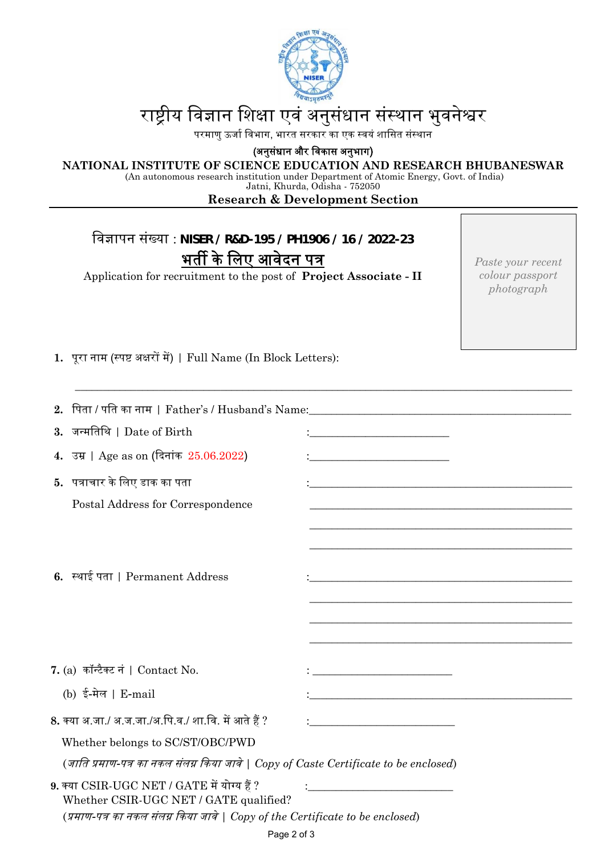

# राष्ट्रीय विज्ञान शिक्षा एवं अनुसंधान संस्थान भुवनेश्वर

परमाणु ऊर्जा विभाग, भारत सरकार का एक स्वयं शासित संस्थान

(अनुसंधान और विकास अनुभाग)

**NATIONAL INSTITUTE OF SCIENCE EDUCATION AND RESEARCH BHUBANESWAR** 

 (An autonomous research institution under Department of Atomic Energy, Govt. of India) Jatni, Khurda, Odisha - 752050

#### **Research & Development Section**

\_\_\_\_\_\_\_\_\_\_\_\_\_\_\_\_\_\_\_\_\_\_\_\_\_\_\_\_\_\_\_\_\_\_\_\_\_\_\_\_\_\_\_\_\_\_\_\_\_\_\_\_\_\_\_\_\_\_\_\_\_\_\_\_\_\_\_\_\_\_\_\_\_\_\_\_\_\_\_\_\_\_\_\_\_\_\_\_\_

िवज्ञापन संख्या : **NISER / R&D-195 / PH1906 / 16 / 2022-23**  भर्ती के लिए आवेदन पत्र

Application for recruitment to the post of **Project Associate - II**

*Paste your recent colour passport photograph* 

1. पूरा नाम (स्पष्ट अक्षरों में) | Full Name (In Block Letters):

|                                                                                       | 2.   पिता / पति का नाम     Father's / Husband's Name:____________________________     |                                                                                                                      |  |  |  |  |
|---------------------------------------------------------------------------------------|---------------------------------------------------------------------------------------|----------------------------------------------------------------------------------------------------------------------|--|--|--|--|
|                                                                                       | 3. जन्मतिथि   Date of Birth                                                           | <u> 1989 - Johann Stein, mars an t-Amerikaansk ferskeiz (* 1918)</u>                                                 |  |  |  |  |
|                                                                                       | 4. उम्र   Age as on (दिनांक $25.06.2022$ )                                            |                                                                                                                      |  |  |  |  |
|                                                                                       | 5. पत्राचार के लिए डाक का पता                                                         | <u> 1989 - Johann John Stone, markin film yn y brening yn y brening yn y brening yn y brening y brening yn y bre</u> |  |  |  |  |
|                                                                                       | Postal Address for Correspondence                                                     |                                                                                                                      |  |  |  |  |
|                                                                                       |                                                                                       |                                                                                                                      |  |  |  |  |
|                                                                                       |                                                                                       |                                                                                                                      |  |  |  |  |
|                                                                                       | 6. स्थाई पता   Permanent Address                                                      | <u> 1989 - Johann Stein, mars an deutscher Stein und der Stein und der Stein und der Stein und der Stein und der</u> |  |  |  |  |
|                                                                                       |                                                                                       |                                                                                                                      |  |  |  |  |
|                                                                                       |                                                                                       |                                                                                                                      |  |  |  |  |
|                                                                                       |                                                                                       |                                                                                                                      |  |  |  |  |
|                                                                                       | 7. (a) कॉन्टैक्ट नं   Contact No.                                                     | <u> 1989 - Johann Barn, mars eta bainar eta idazlea (</u>                                                            |  |  |  |  |
|                                                                                       | (b) ई-मेल   E-mail                                                                    | <u> 1989 - Andrea Station, Amerikaansk politiker (d. 1989)</u>                                                       |  |  |  |  |
|                                                                                       | 8. क्या अ.जा./ अ.ज.जा./अ.पि.व./ शा.वि. में आते हैं ?                                  | <u> 1980 - Johann Barbara, martin a</u>                                                                              |  |  |  |  |
|                                                                                       | Whether belongs to SC/ST/OBC/PWD                                                      |                                                                                                                      |  |  |  |  |
| (जाति प्रमाण-पत्र का नकल संलग्न किया जावे   Copy of Caste Certificate to be enclosed) |                                                                                       |                                                                                                                      |  |  |  |  |
|                                                                                       | 9. क्या CSIR-UGC NET / GATE में योग्य हैं ?<br>Whether CSIR-UGC NET / GATE qualified? |                                                                                                                      |  |  |  |  |
| (प्रमाण-पत्र का नकल संलग्न किया जावे   Copy of the Certificate to be enclosed)        |                                                                                       |                                                                                                                      |  |  |  |  |
|                                                                                       | Page 2 of 3                                                                           |                                                                                                                      |  |  |  |  |